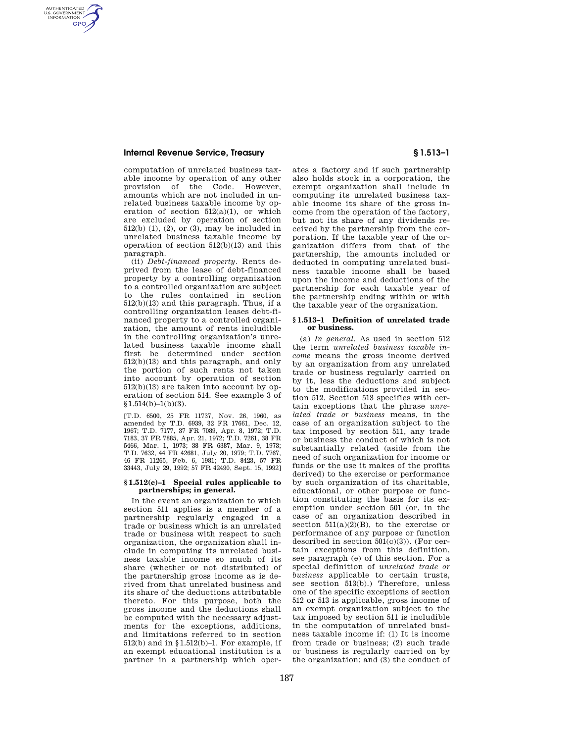AUTHENTICATED<br>U.S. GOVERNMENT<br>INFORMATION **GPO** 

> computation of unrelated business taxable income by operation of any other provision of the Code. However, amounts which are not included in unrelated business taxable income by operation of section  $512(a)(1)$ , or which are excluded by operation of section  $512(b)$  (1), (2), or (3), may be included in unrelated business taxable income by operation of section 512(b)(13) and this paragraph.

> (ii) *Debt-financed property.* Rents deprived from the lease of debt-financed property by a controlling organization to a controlled organization are subject to the rules contained in section 512(b)(13) and this paragraph. Thus, if a controlling organization leases debt-financed property to a controlled organization, the amount of rents includible in the controlling organization's unrelated business taxable income shall first be determined under section 512(b)(13) and this paragraph, and only the portion of such rents not taken into account by operation of section 512(b)(13) are taken into account by operation of section 514. See example 3 of  $$1.514(b)-1(b)(3).$

> [T.D. 6500, 25 FR 11737, Nov. 26, 1960, as amended by T.D. 6939, 32 FR 17661, Dec. 12, 1967; T.D. 7177, 37 FR 7089, Apr. 8, 1972; T.D. 7183, 37 FR 7885, Apr. 21, 1972; T.D. 7261, 38 FR 5466, Mar. 1, 1973; 38 FR 6387, Mar. 9, 1973; T.D. 7632, 44 FR 42681, July 20, 1979; T.D. 7767, 46 FR 11265, Feb. 6, 1981; T.D. 8423, 57 FR 33443, July 29, 1992; 57 FR 42490, Sept. 15, 1992]

#### **§ 1.512(c)–1 Special rules applicable to partnerships; in general.**

In the event an organization to which section 511 applies is a member of a partnership regularly engaged in a trade or business which is an unrelated trade or business with respect to such organization, the organization shall include in computing its unrelated business taxable income so much of its share (whether or not distributed) of the partnership gross income as is derived from that unrelated business and its share of the deductions attributable thereto. For this purpose, both the gross income and the deductions shall be computed with the necessary adjustments for the exceptions, additions, and limitations referred to in section 512(b) and in §1.512(b)–1. For example, if an exempt educational institution is a partner in a partnership which operates a factory and if such partnership also holds stock in a corporation, the exempt organization shall include in computing its unrelated business taxable income its share of the gross income from the operation of the factory, but not its share of any dividends received by the partnership from the corporation. If the taxable year of the organization differs from that of the partnership, the amounts included or deducted in computing unrelated business taxable income shall be based upon the income and deductions of the partnership for each taxable year of the partnership ending within or with the taxable year of the organization.

#### **§ 1.513–1 Definition of unrelated trade or business.**

(a) *In general.* As used in section 512 the term *unrelated business taxable income* means the gross income derived by an organization from any unrelated trade or business regularly carried on by it, less the deductions and subject to the modifications provided in section 512. Section 513 specifies with certain exceptions that the phrase *unrelated trade or business* means, in the case of an organization subject to the tax imposed by section 511, any trade or business the conduct of which is not substantially related (aside from the need of such organization for income or funds or the use it makes of the profits derived) to the exercise or performance by such organization of its charitable, educational, or other purpose or function constituting the basis for its exemption under section 501 (or, in the case of an organization described in section  $511(a)(2)(B)$ , to the exercise or performance of any purpose or function described in section  $501(c)(3)$ ). (For certain exceptions from this definition, see paragraph (e) of this section. For a special definition of *unrelated trade or business* applicable to certain trusts, see section 513(b).) Therefore, unless one of the specific exceptions of section 512 or 513 is applicable, gross income of an exempt organization subject to the tax imposed by section 511 is includible in the computation of unrelated business taxable income if: (1) It is income from trade or business; (2) such trade or business is regularly carried on by the organization; and (3) the conduct of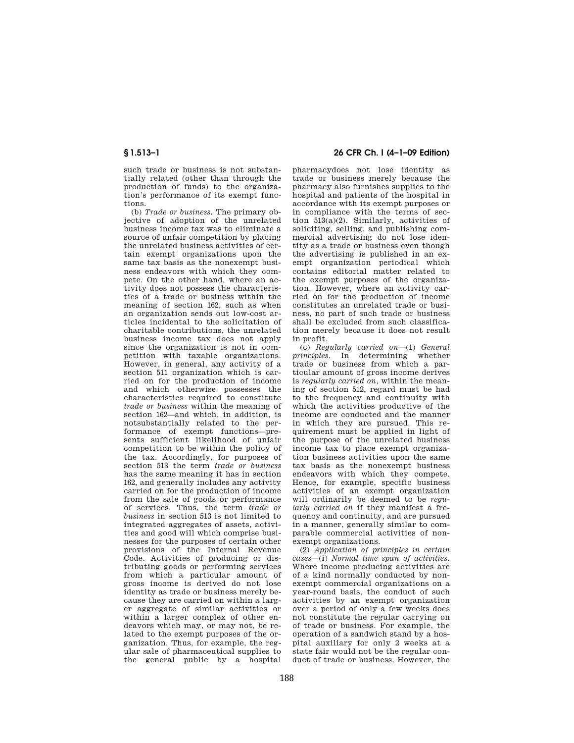such trade or business is not substantially related (other than through the production of funds) to the organization's performance of its exempt functions.

(b) *Trade or business.* The primary objective of adoption of the unrelated business income tax was to eliminate a source of unfair competition by placing the unrelated business activities of certain exempt organizations upon the same tax basis as the nonexempt business endeavors with which they compete. On the other hand, where an activity does not possess the characteristics of a trade or business within the meaning of section 162, such as when an organization sends out low-cost articles incidental to the solicitation of charitable contributions, the unrelated business income tax does not apply since the organization is not in competition with taxable organizations. However, in general, any activity of a section 511 organization which is carried on for the production of income and which otherwise possesses the characteristics required to constitute *trade or business* within the meaning of section 162—and which, in addition, is notsubstantially related to the performance of exempt functions—presents sufficient likelihood of unfair competition to be within the policy of the tax. Accordingly, for purposes of section 513 the term *trade or business*  has the same meaning it has in section 162, and generally includes any activity carried on for the production of income from the sale of goods or performance of services. Thus, the term *trade or business* in section 513 is not limited to integrated aggregates of assets, activities and good will which comprise businesses for the purposes of certain other provisions of the Internal Revenue Code. Activities of producing or distributing goods or performing services from which a particular amount of gross income is derived do not lose identity as trade or business merely because they are carried on within a larger aggregate of similar activities or within a larger complex of other endeavors which may, or may not, be related to the exempt purposes of the organization. Thus, for example, the regular sale of pharmaceutical supplies to the general public by a hospital

# **§ 1.513–1 26 CFR Ch. I (4–1–09 Edition)**

pharmacydoes not lose identity as trade or business merely because the pharmacy also furnishes supplies to the hospital and patients of the hospital in accordance with its exempt purposes or in compliance with the terms of section 513(a)(2). Similarly, activities of soliciting, selling, and publishing commercial advertising do not lose identity as a trade or business even though the advertising is published in an exempt organization periodical which contains editorial matter related to the exempt purposes of the organization. However, where an activity carried on for the production of income constitutes an unrelated trade or business, no part of such trade or business shall be excluded from such classification merely because it does not result in profit.

(c) *Regularly carried on*—(1) *General principles.* In determining whether trade or business from which a particular amount of gross income derives is *regularly carried on,* within the meaning of section 512, regard must be had to the frequency and continuity with which the activities productive of the income are conducted and the manner in which they are pursued. This requirement must be applied in light of the purpose of the unrelated business income tax to place exempt organization business activities upon the same tax basis as the nonexempt business endeavors with which they compete. Hence, for example, specific business activities of an exempt organization will ordinarily be deemed to be *regularly carried on* if they manifest a frequency and continuity, and are pursued in a manner, generally similar to comparable commercial activities of nonexempt organizations.

(2) *Application of principles in certain cases*—(i) *Normal time span of activities.*  Where income producing activities are of a kind normally conducted by nonexempt commercial organizations on a year-round basis, the conduct of such activities by an exempt organization over a period of only a few weeks does not constitute the regular carrying on of trade or business. For example, the operation of a sandwich stand by a hospital auxiliary for only 2 weeks at a state fair would not be the regular conduct of trade or business. However, the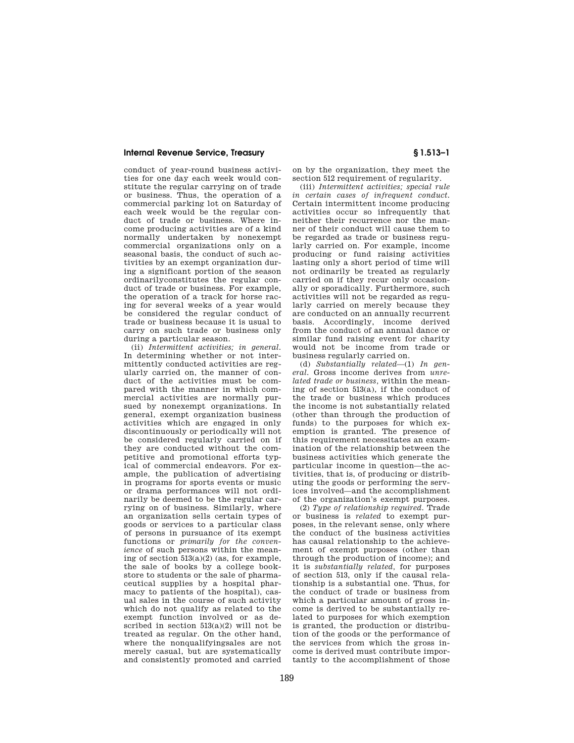conduct of year-round business activities for one day each week would constitute the regular carrying on of trade or business. Thus, the operation of a commercial parking lot on Saturday of each week would be the regular conduct of trade or business. Where income producing activities are of a kind normally undertaken by nonexempt commercial organizations only on a seasonal basis, the conduct of such activities by an exempt organization during a significant portion of the season ordinarilyconstitutes the regular conduct of trade or business. For example, the operation of a track for horse racing for several weeks of a year would be considered the regular conduct of trade or business because it is usual to carry on such trade or business only during a particular season.

(ii) *Intermittent activities; in general.*  In determining whether or not intermittently conducted activities are regularly carried on, the manner of conduct of the activities must be compared with the manner in which commercial activities are normally pursued by nonexempt organizations. In general, exempt organization business activities which are engaged in only discontinuously or periodically will not be considered regularly carried on if they are conducted without the competitive and promotional efforts typical of commercial endeavors. For example, the publication of advertising in programs for sports events or music or drama performances will not ordinarily be deemed to be the regular carrying on of business. Similarly, where an organization sells certain types of goods or services to a particular class of persons in pursuance of its exempt functions or *primarily for the convenience* of such persons within the meaning of section  $513(a)(2)$  (as, for example, the sale of books by a college bookstore to students or the sale of pharmaceutical supplies by a hospital pharmacy to patients of the hospital), casual sales in the course of such activity which do not qualify as related to the exempt function involved or as described in section  $513(a)(2)$  will not be treated as regular. On the other hand, where the nonqualifyingsales are not merely casual, but are systematically and consistently promoted and carried

on by the organization, they meet the section 512 requirement of regularity.

(iii) *Intermittent activities; special rule in certain cases of infrequent conduct.*  Certain intermittent income producing activities occur so infrequently that neither their recurrence nor the manner of their conduct will cause them to be regarded as trade or business regularly carried on. For example, income producing or fund raising activities lasting only a short period of time will not ordinarily be treated as regularly carried on if they recur only occasionally or sporadically. Furthermore, such activities will not be regarded as regularly carried on merely because they are conducted on an annually recurrent basis. Accordingly, income derived from the conduct of an annual dance or similar fund raising event for charity would not be income from trade or business regularly carried on.

(d) *Substantially related*—(1) *In general.* Gross income derives from *unrelated trade or business,* within the meaning of section 513(a), if the conduct of the trade or business which produces the income is not substantially related (other than through the production of funds) to the purposes for which exemption is granted. The presence of this requirement necessitates an examination of the relationship between the business activities which generate the particular income in question—the activities, that is, of producing or distributing the goods or performing the services involved—and the accomplishment of the organization's exempt purposes.

(2) *Type of relationship required.* Trade or business is *related* to exempt purposes, in the relevant sense, only where the conduct of the business activities has causal relationship to the achievement of exempt purposes (other than through the production of income); and it is *substantially related,* for purposes of section 513, only if the causal relationship is a substantial one. Thus, for the conduct of trade or business from which a particular amount of gross income is derived to be substantially related to purposes for which exemption is granted, the production or distribution of the goods or the performance of the services from which the gross income is derived must contribute importantly to the accomplishment of those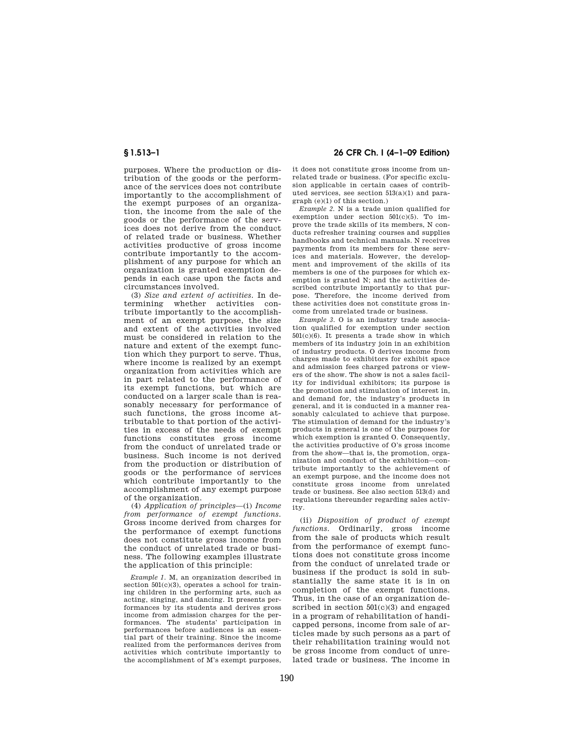purposes. Where the production or distribution of the goods or the performance of the services does not contribute importantly to the accomplishment of the exempt purposes of an organization, the income from the sale of the goods or the performance of the services does not derive from the conduct of related trade or business. Whether activities productive of gross income contribute importantly to the accomplishment of any purpose for which an organization is granted exemption depends in each case upon the facts and circumstances involved.

(3) *Size and extent of activities.* In determining whether activities contribute importantly to the accomplishment of an exempt purpose, the size and extent of the activities involved must be considered in relation to the nature and extent of the exempt function which they purport to serve. Thus, where income is realized by an exempt organization from activities which are in part related to the performance of its exempt functions, but which are conducted on a larger scale than is reasonably necessary for performance of such functions, the gross income attributable to that portion of the activities in excess of the needs of exempt functions constitutes gross income from the conduct of unrelated trade or business. Such income is not derived from the production or distribution of goods or the performance of services which contribute importantly to the accomplishment of any exempt purpose of the organization.

(4) *Application of principles*—(i) *Income from performance of exempt functions.*  Gross income derived from charges for the performance of exempt functions does not constitute gross income from the conduct of unrelated trade or business. The following examples illustrate the application of this principle:

*Example 1.* M, an organization described in section  $501(c)(3)$ , operates a school for training children in the performing arts, such as acting, singing, and dancing. It presents performances by its students and derives gross income from admission charges for the performances. The students' participation in performances before audiences is an essential part of their training. Since the income realized from the performances derives from activities which contribute importantly to the accomplishment of M's exempt purposes,

**§ 1.513–1 26 CFR Ch. I (4–1–09 Edition)** 

it does not constitute gross income from unrelated trade or business. (For specific exclusion applicable in certain cases of contributed services, see section 513(a)(1) and paragraph (e)(1) of this section.)

*Example 2.* N is a trade union qualified for exemption under section 501(c)(5). To improve the trade skills of its members, N conducts refresher training courses and supplies handbooks and technical manuals. N receives payments from its members for these services and materials. However, the development and improvement of the skills of its members is one of the purposes for which exemption is granted N; and the activities described contribute importantly to that purpose. Therefore, the income derived from these activities does not constitute gross income from unrelated trade or business.

*Example 3.* O is an industry trade association qualified for exemption under section 501(c)(6). It presents a trade show in which members of its industry join in an exhibition of industry products. O derives income from charges made to exhibitors for exhibit space and admission fees charged patrons or viewers of the show. The show is not a sales facility for individual exhibitors; its purpose is the promotion and stimulation of interest in, and demand for, the industry's products in general, and it is conducted in a manner reasonably calculated to achieve that purpose. The stimulation of demand for the industry's products in general is one of the purposes for which exemption is granted O. Consequently, the activities productive of O's gross income from the show—that is, the promotion, organization and conduct of the exhibition—contribute importantly to the achievement of an exempt purpose, and the income does not constitute gross income from unrelated trade or business. See also section 513(d) and regulations thereunder regarding sales activity.

(ii) *Disposition of product of exempt functions.* Ordinarily, gross income from the sale of products which result from the performance of exempt functions does not constitute gross income from the conduct of unrelated trade or business if the product is sold in substantially the same state it is in on completion of the exempt functions. Thus, in the case of an organization described in section  $501(c)(3)$  and engaged in a program of rehabilitation of handicapped persons, income from sale of articles made by such persons as a part of their rehabilitation training would not be gross income from conduct of unrelated trade or business. The income in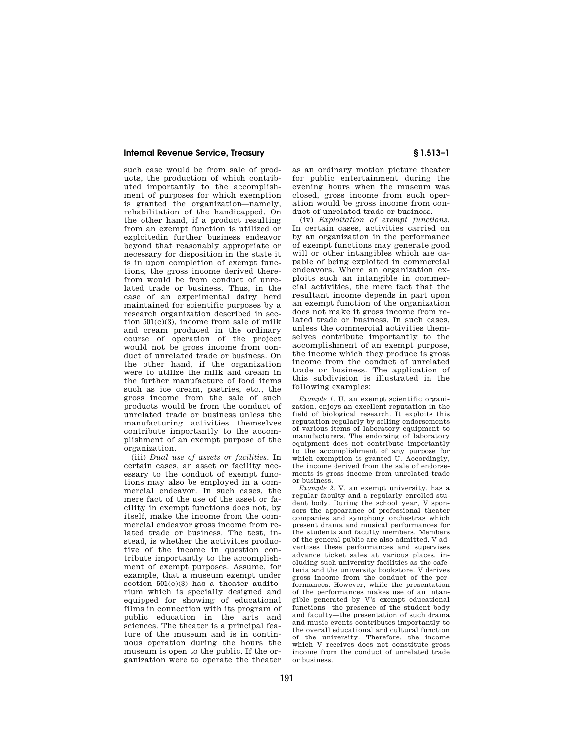such case would be from sale of products, the production of which contributed importantly to the accomplishment of purposes for which exemption is granted the organization—namely, rehabilitation of the handicapped. On the other hand, if a product resulting from an exempt function is utilized or exploitedin further business endeavor beyond that reasonably appropriate or necessary for disposition in the state it is in upon completion of exempt functions, the gross income derived therefrom would be from conduct of unrelated trade or business. Thus, in the case of an experimental dairy herd maintained for scientific purposes by a research organization described in section  $501(c)(3)$ , income from sale of milk and cream produced in the ordinary course of operation of the project would not be gross income from conduct of unrelated trade or business. On the other hand, if the organization were to utilize the milk and cream in the further manufacture of food items such as ice cream, pastries, etc., the gross income from the sale of such products would be from the conduct of unrelated trade or business unless the manufacturing activities themselves contribute importantly to the accomplishment of an exempt purpose of the organization.

(iii) *Dual use of assets or facilities.* In certain cases, an asset or facility necessary to the conduct of exempt functions may also be employed in a commercial endeavor. In such cases, the mere fact of the use of the asset or facility in exempt functions does not, by itself, make the income from the commercial endeavor gross income from related trade or business. The test, instead, is whether the activities productive of the income in question contribute importantly to the accomplishment of exempt purposes. Assume, for example, that a museum exempt under section  $501(c)(3)$  has a theater auditorium which is specially designed and equipped for showing of educational films in connection with its program of public education in the arts and sciences. The theater is a principal feature of the museum and is in continuous operation during the hours the museum is open to the public. If the organization were to operate the theater

as an ordinary motion picture theater for public entertainment during the evening hours when the museum was closed, gross income from such operation would be gross income from conduct of unrelated trade or business.

(iv) *Exploitation of exempt functions.*  In certain cases, activities carried on by an organization in the performance of exempt functions may generate good will or other intangibles which are capable of being exploited in commercial endeavors. Where an organization exploits such an intangible in commercial activities, the mere fact that the resultant income depends in part upon an exempt function of the organization does not make it gross income from related trade or business. In such cases, unless the commercial activities themselves contribute importantly to the accomplishment of an exempt purpose, the income which they produce is gross income from the conduct of unrelated trade or business. The application of this subdivision is illustrated in the following examples:

*Example 1.* U, an exempt scientific organization, enjoys an excellent reputation in the field of biological research. It exploits this reputation regularly by selling endorsements of various items of laboratory equipment to manufacturers. The endorsing of laboratory equipment does not contribute importantly to the accomplishment of any purpose for which exemption is granted U. Accordingly, the income derived from the sale of endorsements is gross income from unrelated trade or business.

*Example 2.* V, an exempt university, has a regular faculty and a regularly enrolled student body. During the school year, V sponsors the appearance of professional theater companies and symphony orchestras which present drama and musical performances for the students and faculty members. Members of the general public are also admitted. V advertises these performances and supervises advance ticket sales at various places, including such university facilities as the cafeteria and the university bookstore. V derives gross income from the conduct of the performances. However, while the presentation of the performances makes use of an intangible generated by V's exempt educational functions—the presence of the student body and faculty—the presentation of such drama and music events contributes importantly to the overall educational and cultural function of the university. Therefore, the income which V receives does not constitute gross income from the conduct of unrelated trade or business.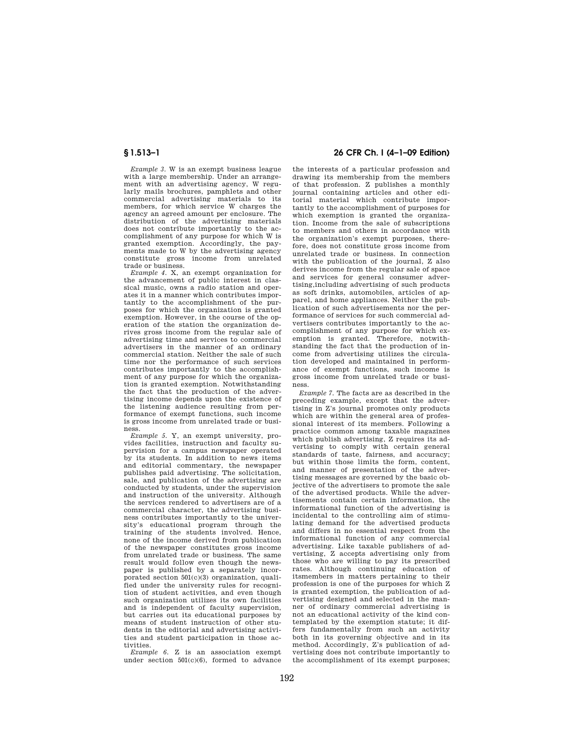*Example 3.* W is an exempt business league with a large membership. Under an arrangement with an advertising agency, W regularly mails brochures, pamphlets and other commercial advertising materials to its members, for which service W charges the agency an agreed amount per enclosure. The distribution of the advertising materials does not contribute importantly to the accomplishment of any purpose for which W is granted exemption. Accordingly, the payments made to W by the advertising agency constitute gross income from unrelated trade or business.

*Example 4.* X, an exempt organization for the advancement of public interest in classical music, owns a radio station and operates it in a manner which contributes importantly to the accomplishment of the purposes for which the organization is granted exemption. However, in the course of the operation of the station the organization derives gross income from the regular sale of advertising time and services to commercial advertisers in the manner of an ordinary commercial station. Neither the sale of such time nor the performance of such services contributes importantly to the accomplishment of any purpose for which the organization is granted exemption. Notwithstanding the fact that the production of the advertising income depends upon the existence of the listening audience resulting from performance of exempt functions, such income is gross income from unrelated trade or business.

*Example 5.* Y, an exempt university, provides facilities, instruction and faculty supervision for a campus newspaper operated by its students. In addition to news items and editorial commentary, the newspaper publishes paid advertising. The solicitation, sale, and publication of the advertising are conducted by students, under the supervision and instruction of the university. Although the services rendered to advertisers are of a commercial character, the advertising business contributes importantly to the university's educational program through the training of the students involved. Hence, none of the income derived from publication of the newspaper constitutes gross income from unrelated trade or business. The same result would follow even though the newspaper is published by a separately incorporated section  $501(c)(3)$  organization, qualified under the university rules for recognition of student activities, and even though such organization utilizes its own facilities and is independent of faculty supervision, but carries out its educational purposes by means of student instruction of other students in the editorial and advertising activities and student participation in those activities.

*Example 6.* Z is an association exempt under section 501(c)(6), formed to advance

# **§ 1.513–1 26 CFR Ch. I (4–1–09 Edition)**

the interests of a particular profession and drawing its membership from the members of that profession. Z publishes a monthly journal containing articles and other editorial material which contribute importantly to the accomplishment of purposes for which exemption is granted the organization. Income from the sale of subscriptions to members and others in accordance with the organization's exempt purposes, therefore, does not constitute gross income from unrelated trade or business. In connection with the publication of the journal, Z also derives income from the regular sale of space and services for general consumer advertising,including advertising of such products as soft drinks, automobiles, articles of apparel, and home appliances. Neither the publication of such advertisements nor the performance of services for such commercial advertisers contributes importantly to the accomplishment of any purpose for which exemption is granted. Therefore, notwithstanding the fact that the production of income from advertising utilizes the circulation developed and maintained in performance of exempt functions, such income is gross income from unrelated trade or business.

*Example 7.* The facts are as described in the preceding example, except that the advertising in Z's journal promotes only products which are within the general area of professional interest of its members. Following a practice common among taxable magazines which publish advertising, Z requires its advertising to comply with certain general standards of taste, fairness, and accuracy; but within those limits the form, content, and manner of presentation of the advertising messages are governed by the basic objective of the advertisers to promote the sale of the advertised products. While the advertisements contain certain information, the informational function of the advertising is incidental to the controlling aim of stimulating demand for the advertised products and differs in no essential respect from the informational function of any commercial advertising. Like taxable publishers of advertising, Z accepts advertising only from those who are willing to pay its prescribed rates. Although continuing education of itsmembers in matters pertaining to their profession is one of the purposes for which Z is granted exemption, the publication of advertising designed and selected in the manner of ordinary commercial advertising is not an educational activity of the kind contemplated by the exemption statute; it differs fundamentally from such an activity both in its governing objective and in its method. Accordingly, Z's publication of advertising does not contribute importantly to the accomplishment of its exempt purposes;